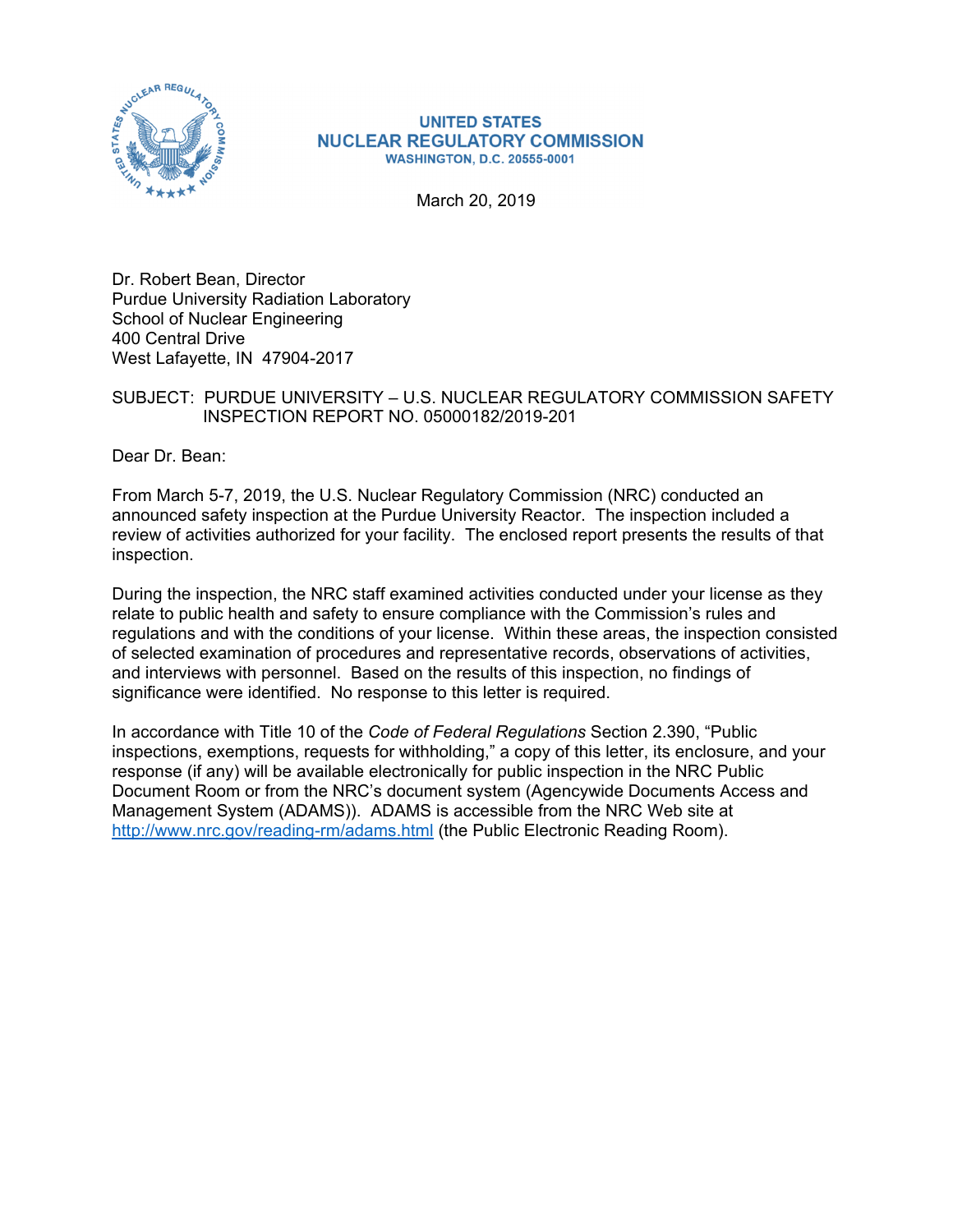

#### **UNITED STATES NUCLEAR REGULATORY COMMISSION WASHINGTON, D.C. 20555-0001**

March 20, 2019

Dr. Robert Bean, Director Purdue University Radiation Laboratory School of Nuclear Engineering 400 Central Drive West Lafayette, IN 47904-2017

### SUBJECT: PURDUE UNIVERSITY – U.S. NUCLEAR REGULATORY COMMISSION SAFETY INSPECTION REPORT NO. 05000182/2019-201

Dear Dr. Bean:

From March 5-7, 2019, the U.S. Nuclear Regulatory Commission (NRC) conducted an announced safety inspection at the Purdue University Reactor. The inspection included a review of activities authorized for your facility. The enclosed report presents the results of that inspection.

During the inspection, the NRC staff examined activities conducted under your license as they relate to public health and safety to ensure compliance with the Commission's rules and regulations and with the conditions of your license. Within these areas, the inspection consisted of selected examination of procedures and representative records, observations of activities, and interviews with personnel. Based on the results of this inspection, no findings of significance were identified. No response to this letter is required.

In accordance with Title 10 of the *Code of Federal Regulations* Section 2.390, "Public inspections, exemptions, requests for withholding," a copy of this letter, its enclosure, and your response (if any) will be available electronically for public inspection in the NRC Public Document Room or from the NRC's document system (Agencywide Documents Access and Management System (ADAMS)). ADAMS is accessible from the NRC Web site at http://www.nrc.gov/reading-rm/adams.html (the Public Electronic Reading Room).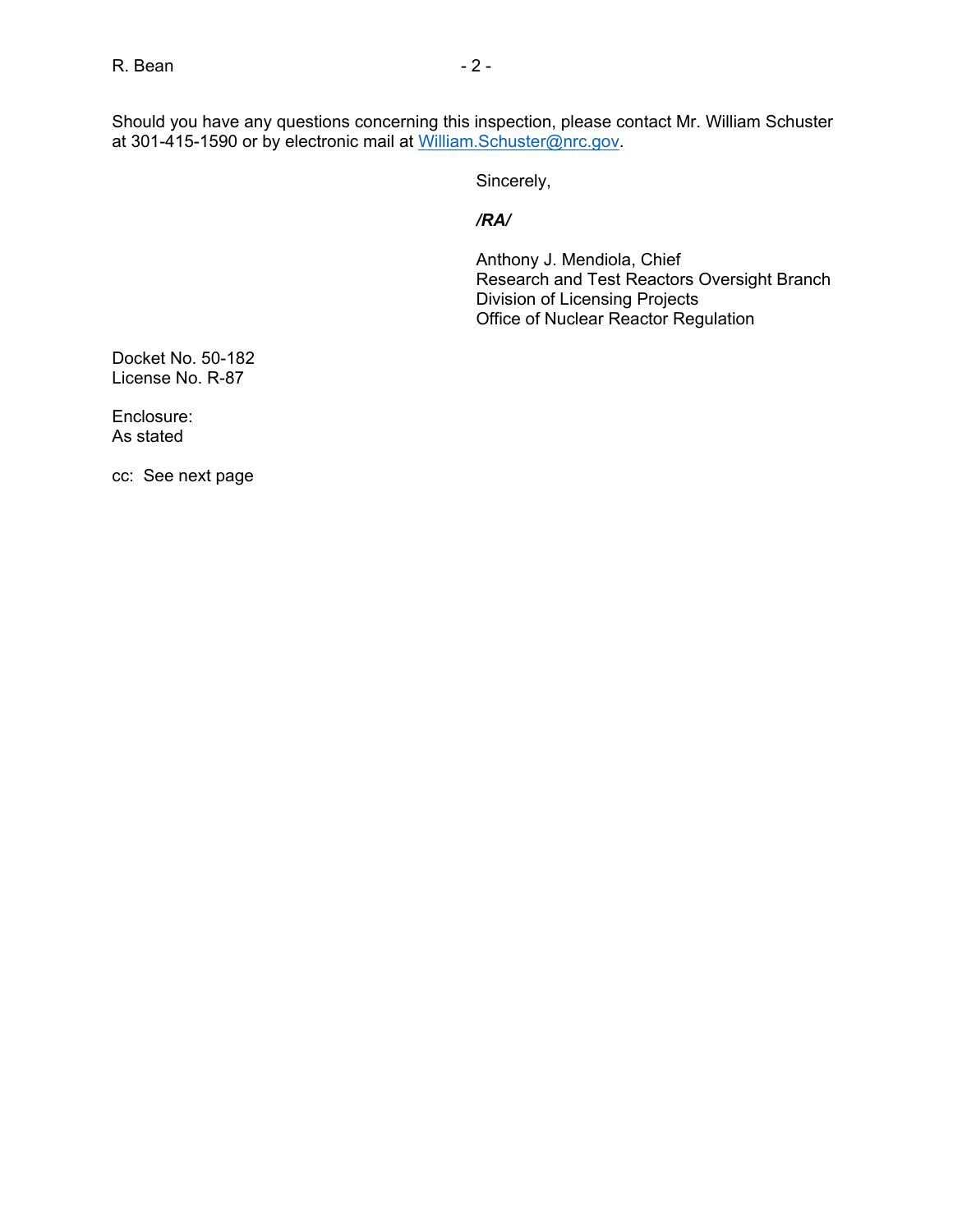Should you have any questions concerning this inspection, please contact Mr. William Schuster at 301-415-1590 or by electronic mail at William.Schuster@nrc.gov.

Sincerely,

### */RA/*

Anthony J. Mendiola, Chief Research and Test Reactors Oversight Branch Division of Licensing Projects Office of Nuclear Reactor Regulation

Docket No. 50-182 License No. R-87

Enclosure: As stated

cc: See next page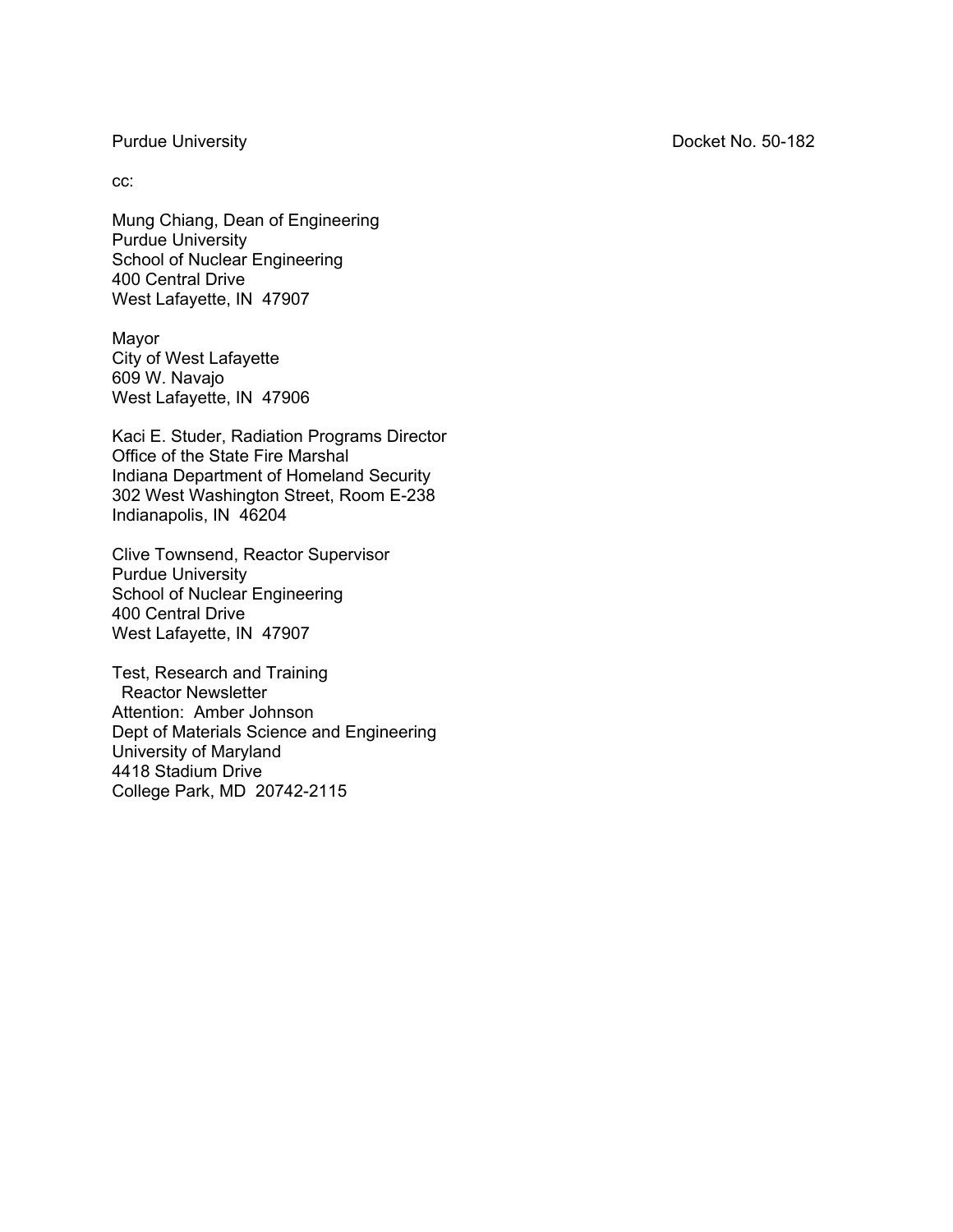Purdue University **Docket No. 50-182** 

cc:

Mung Chiang, Dean of Engineering Purdue University School of Nuclear Engineering 400 Central Drive West Lafayette, IN 47907

Mayor City of West Lafayette 609 W. Navajo West Lafayette, IN 47906

Kaci E. Studer, Radiation Programs Director Office of the State Fire Marshal Indiana Department of Homeland Security 302 West Washington Street, Room E-238 Indianapolis, IN 46204

Clive Townsend, Reactor Supervisor Purdue University School of Nuclear Engineering 400 Central Drive West Lafayette, IN 47907

Test, Research and Training Reactor Newsletter Attention: Amber Johnson Dept of Materials Science and Engineering University of Maryland 4418 Stadium Drive College Park, MD 20742-2115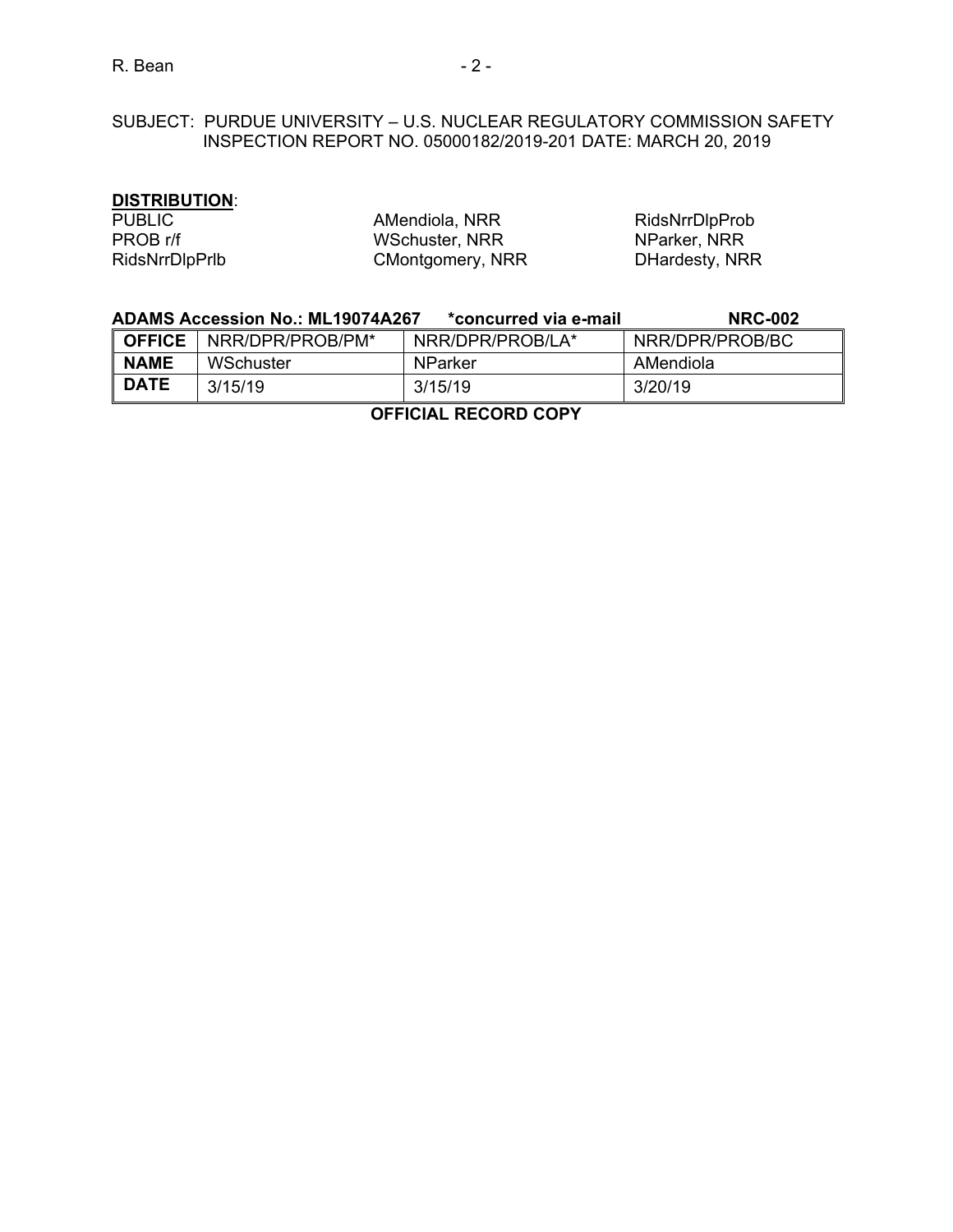# SUBJECT: PURDUE UNIVERSITY – U.S. NUCLEAR REGULATORY COMMISSION SAFETY INSPECTION REPORT NO. 05000182/2019-201 DATE: MARCH 20, 2019

### **DISTRIBUTION**:

| <b>PUBLIC</b>         | AMendiola, NRR   | RidsNrrDlpProb |
|-----------------------|------------------|----------------|
| PROB r/f              | WSchuster, NRR   | NParker, NRR   |
| <b>RidsNrrDlpPrlb</b> | CMontgomery, NRR | DHardesty, NRR |

|               | <b>ADAMS Accession No.: ML19074A267</b> | *concurred via e-mail | <b>NRC-002</b>  |
|---------------|-----------------------------------------|-----------------------|-----------------|
| <b>OFFICE</b> | NRR/DPR/PROB/PM*                        | NRR/DPR/PROB/LA*      | NRR/DPR/PROB/BC |
| <b>NAME</b>   | WSchuster                               | NParker               | AMendiola       |
| <b>DATE</b>   | 3/15/19                                 | 3/15/19               | 3/20/19         |

**OFFICIAL RECORD COPY**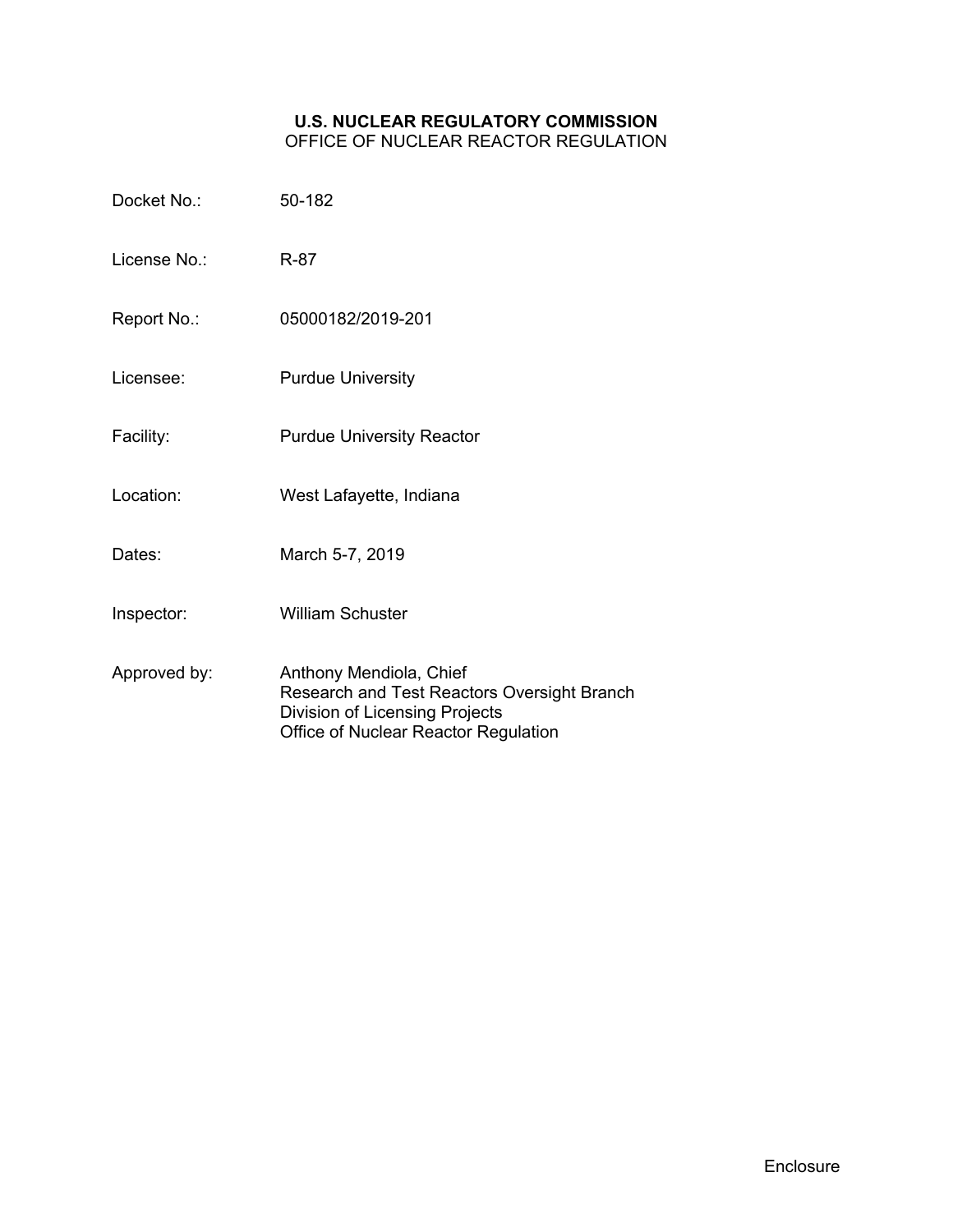# **U.S. NUCLEAR REGULATORY COMMISSION**

OFFICE OF NUCLEAR REACTOR REGULATION

| Docket No.:  | 50-182                                                                                                                                           |
|--------------|--------------------------------------------------------------------------------------------------------------------------------------------------|
| License No : | R-87                                                                                                                                             |
| Report No.:  | 05000182/2019-201                                                                                                                                |
| Licensee:    | <b>Purdue University</b>                                                                                                                         |
| Facility:    | <b>Purdue University Reactor</b>                                                                                                                 |
| Location:    | West Lafayette, Indiana                                                                                                                          |
| Dates:       | March 5-7, 2019                                                                                                                                  |
| Inspector:   | <b>William Schuster</b>                                                                                                                          |
| Approved by: | Anthony Mendiola, Chief<br>Research and Test Reactors Oversight Branch<br>Division of Licensing Projects<br>Office of Nuclear Reactor Regulation |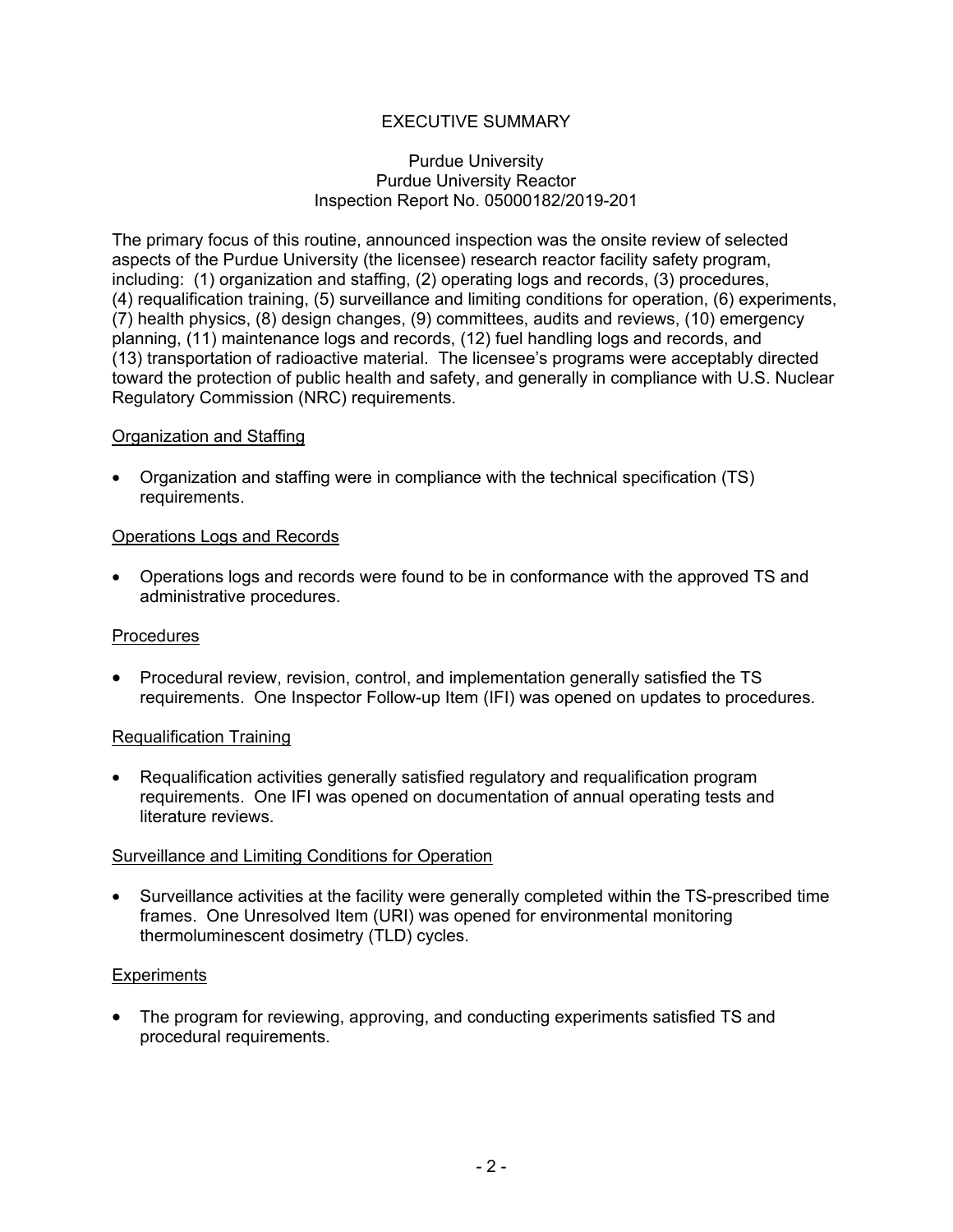# EXECUTIVE SUMMARY

#### Purdue University Purdue University Reactor Inspection Report No. 05000182/2019-201

The primary focus of this routine, announced inspection was the onsite review of selected aspects of the Purdue University (the licensee) research reactor facility safety program, including: (1) organization and staffing, (2) operating logs and records, (3) procedures, (4) requalification training, (5) surveillance and limiting conditions for operation, (6) experiments, (7) health physics, (8) design changes, (9) committees, audits and reviews, (10) emergency planning, (11) maintenance logs and records, (12) fuel handling logs and records, and (13) transportation of radioactive material. The licensee's programs were acceptably directed toward the protection of public health and safety, and generally in compliance with U.S. Nuclear Regulatory Commission (NRC) requirements.

#### Organization and Staffing

• Organization and staffing were in compliance with the technical specification (TS) requirements.

#### Operations Logs and Records

• Operations logs and records were found to be in conformance with the approved TS and administrative procedures.

### **Procedures**

• Procedural review, revision, control, and implementation generally satisfied the TS requirements. One Inspector Follow-up Item (IFI) was opened on updates to procedures.

#### Requalification Training

• Requalification activities generally satisfied regulatory and requalification program requirements. One IFI was opened on documentation of annual operating tests and literature reviews.

#### Surveillance and Limiting Conditions for Operation

• Surveillance activities at the facility were generally completed within the TS-prescribed time frames. One Unresolved Item (URI) was opened for environmental monitoring thermoluminescent dosimetry (TLD) cycles.

#### **Experiments**

• The program for reviewing, approving, and conducting experiments satisfied TS and procedural requirements.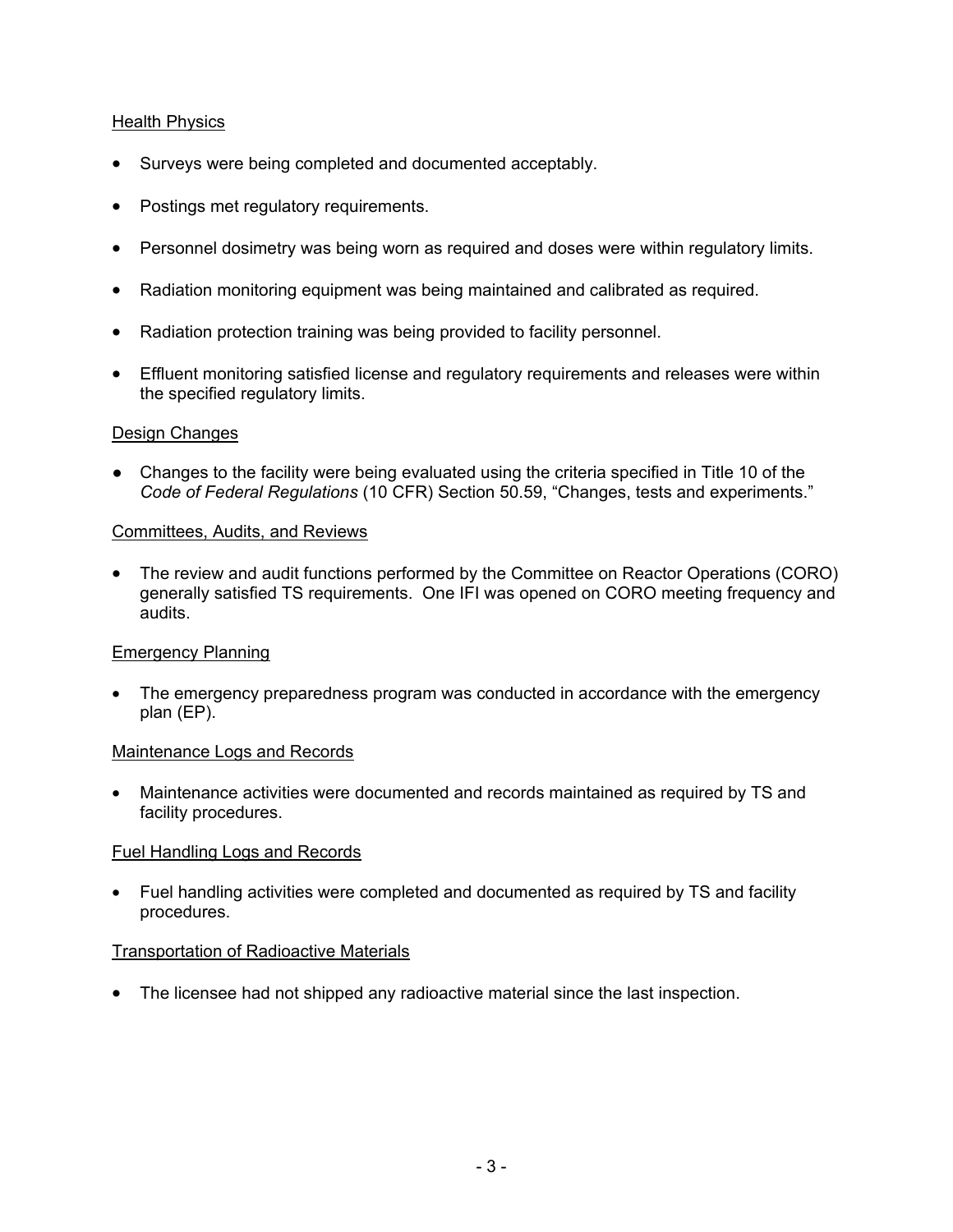## Health Physics

- Surveys were being completed and documented acceptably.
- Postings met regulatory requirements.
- Personnel dosimetry was being worn as required and doses were within regulatory limits.
- Radiation monitoring equipment was being maintained and calibrated as required.
- Radiation protection training was being provided to facility personnel.
- Effluent monitoring satisfied license and regulatory requirements and releases were within the specified regulatory limits.

### Design Changes

● Changes to the facility were being evaluated using the criteria specified in Title 10 of the *Code of Federal Regulations* (10 CFR) Section 50.59, "Changes, tests and experiments."

### Committees, Audits, and Reviews

• The review and audit functions performed by the Committee on Reactor Operations (CORO) generally satisfied TS requirements. One IFI was opened on CORO meeting frequency and audits.

### Emergency Planning

• The emergency preparedness program was conducted in accordance with the emergency plan (EP).

#### Maintenance Logs and Records

• Maintenance activities were documented and records maintained as required by TS and facility procedures.

### Fuel Handling Logs and Records

• Fuel handling activities were completed and documented as required by TS and facility procedures.

### Transportation of Radioactive Materials

• The licensee had not shipped any radioactive material since the last inspection.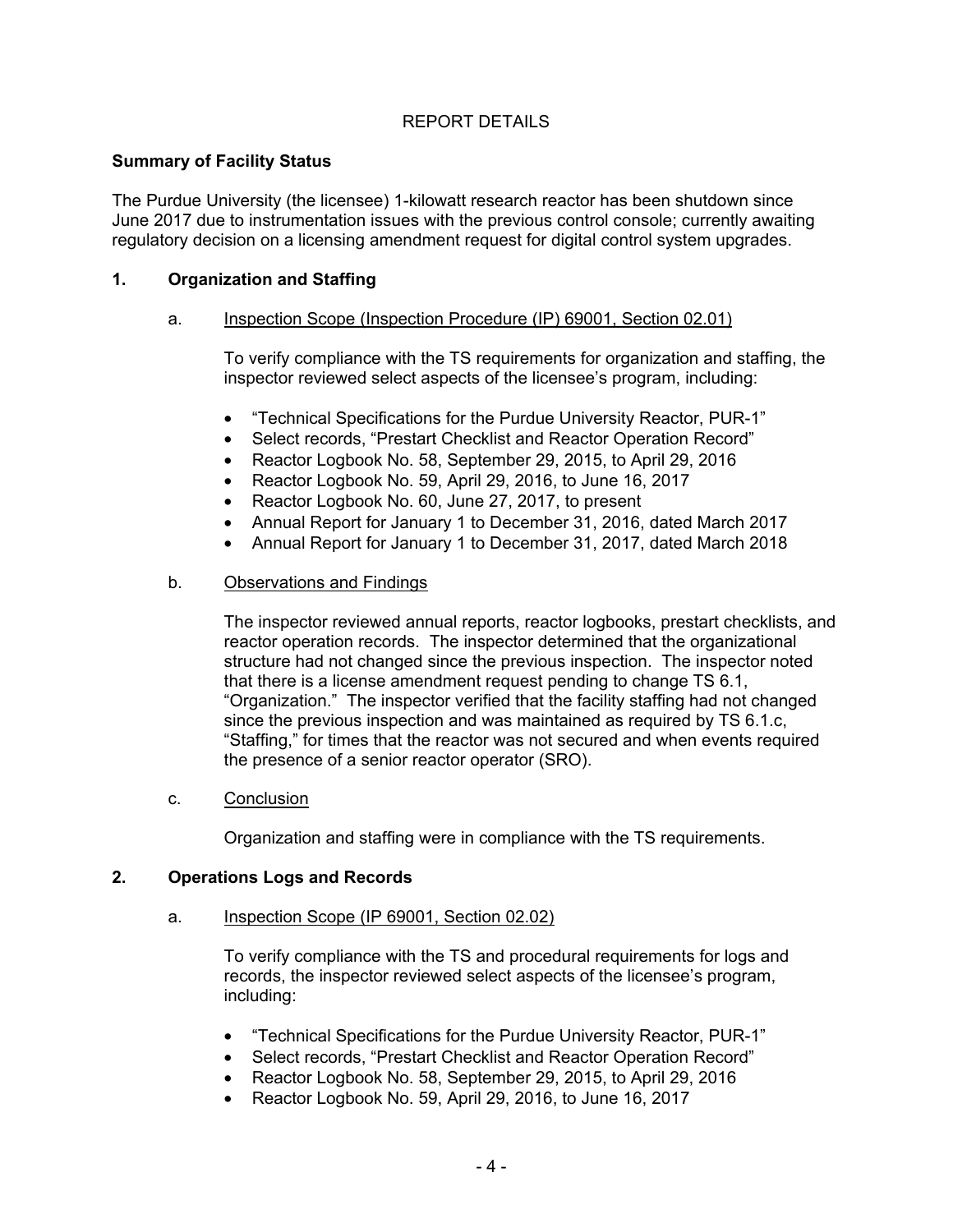# REPORT DETAILS

### **Summary of Facility Status**

The Purdue University (the licensee) 1-kilowatt research reactor has been shutdown since June 2017 due to instrumentation issues with the previous control console; currently awaiting regulatory decision on a licensing amendment request for digital control system upgrades.

## **1. Organization and Staffing**

### a. Inspection Scope (Inspection Procedure (IP) 69001, Section 02.01)

To verify compliance with the TS requirements for organization and staffing, the inspector reviewed select aspects of the licensee's program, including:

- "Technical Specifications for the Purdue University Reactor, PUR-1"
- Select records, "Prestart Checklist and Reactor Operation Record"
- Reactor Logbook No. 58, September 29, 2015, to April 29, 2016
- Reactor Logbook No. 59, April 29, 2016, to June 16, 2017
- Reactor Logbook No. 60, June 27, 2017, to present
- Annual Report for January 1 to December 31, 2016, dated March 2017
- Annual Report for January 1 to December 31, 2017, dated March 2018

### b. Observations and Findings

The inspector reviewed annual reports, reactor logbooks, prestart checklists, and reactor operation records. The inspector determined that the organizational structure had not changed since the previous inspection. The inspector noted that there is a license amendment request pending to change TS 6.1, "Organization." The inspector verified that the facility staffing had not changed since the previous inspection and was maintained as required by TS 6.1.c, "Staffing," for times that the reactor was not secured and when events required the presence of a senior reactor operator (SRO).

c. Conclusion

Organization and staffing were in compliance with the TS requirements.

### **2. Operations Logs and Records**

#### a. Inspection Scope (IP 69001, Section 02.02)

To verify compliance with the TS and procedural requirements for logs and records, the inspector reviewed select aspects of the licensee's program, including:

- "Technical Specifications for the Purdue University Reactor, PUR-1"
- Select records, "Prestart Checklist and Reactor Operation Record"
- Reactor Logbook No. 58, September 29, 2015, to April 29, 2016
- Reactor Logbook No. 59, April 29, 2016, to June 16, 2017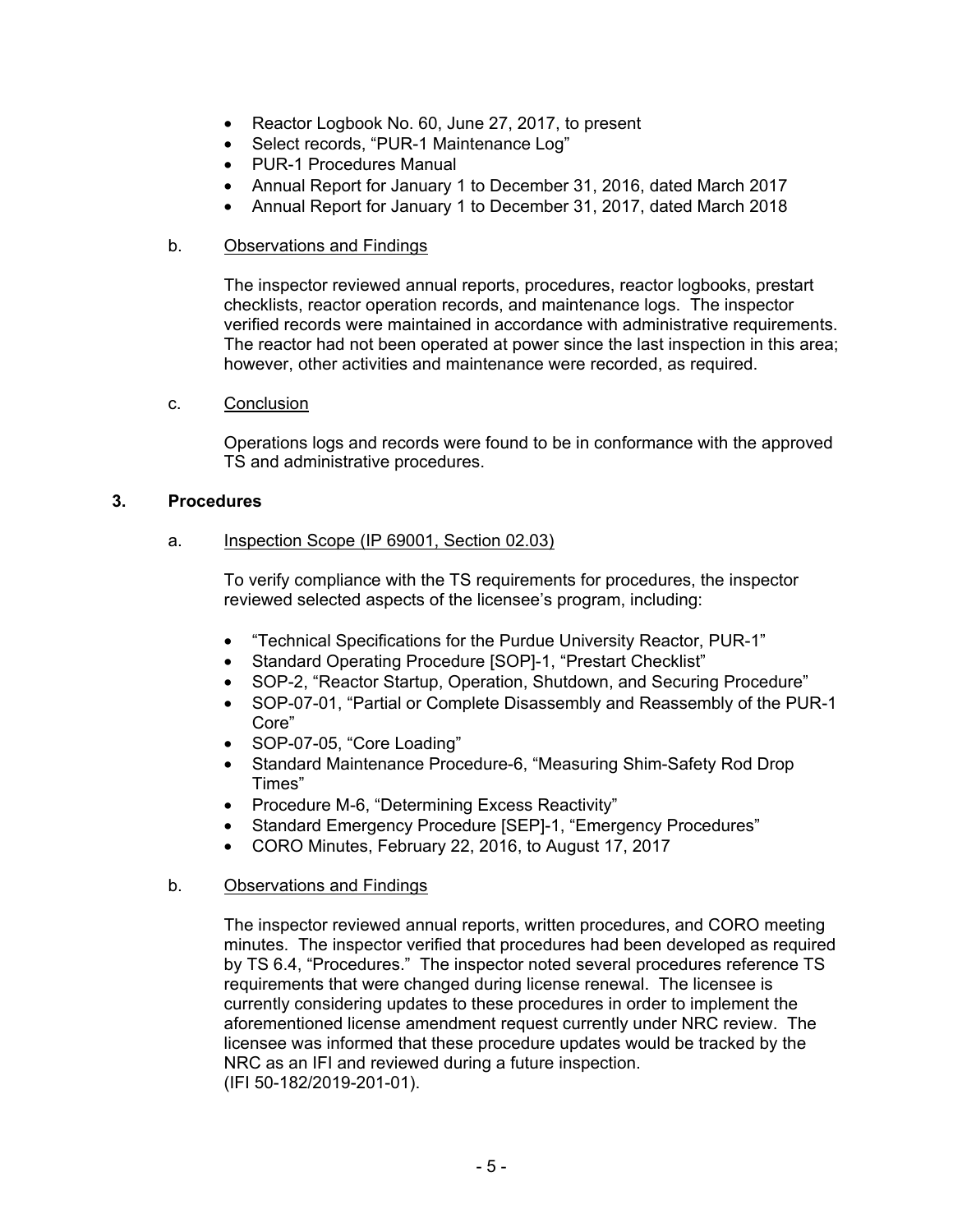- Reactor Logbook No. 60, June 27, 2017, to present
- Select records, "PUR-1 Maintenance Log"
- PUR-1 Procedures Manual
- Annual Report for January 1 to December 31, 2016, dated March 2017
- Annual Report for January 1 to December 31, 2017, dated March 2018

### b. Observations and Findings

The inspector reviewed annual reports, procedures, reactor logbooks, prestart checklists, reactor operation records, and maintenance logs. The inspector verified records were maintained in accordance with administrative requirements. The reactor had not been operated at power since the last inspection in this area; however, other activities and maintenance were recorded, as required.

### c. Conclusion

Operations logs and records were found to be in conformance with the approved TS and administrative procedures.

### **3. Procedures**

### a. Inspection Scope (IP 69001, Section 02.03)

To verify compliance with the TS requirements for procedures, the inspector reviewed selected aspects of the licensee's program, including:

- "Technical Specifications for the Purdue University Reactor, PUR-1"
- Standard Operating Procedure [SOP]-1, "Prestart Checklist"
- SOP-2, "Reactor Startup, Operation, Shutdown, and Securing Procedure"
- SOP-07-01, "Partial or Complete Disassembly and Reassembly of the PUR-1 Core"
- SOP-07-05, "Core Loading"
- Standard Maintenance Procedure-6, "Measuring Shim-Safety Rod Drop Times"
- Procedure M-6, "Determining Excess Reactivity"
- Standard Emergency Procedure [SEP]-1, "Emergency Procedures"
- CORO Minutes, February 22, 2016, to August 17, 2017

### b. Observations and Findings

The inspector reviewed annual reports, written procedures, and CORO meeting minutes. The inspector verified that procedures had been developed as required by TS 6.4, "Procedures." The inspector noted several procedures reference TS requirements that were changed during license renewal. The licensee is currently considering updates to these procedures in order to implement the aforementioned license amendment request currently under NRC review. The licensee was informed that these procedure updates would be tracked by the NRC as an IFI and reviewed during a future inspection. (IFI 50-182/2019-201-01).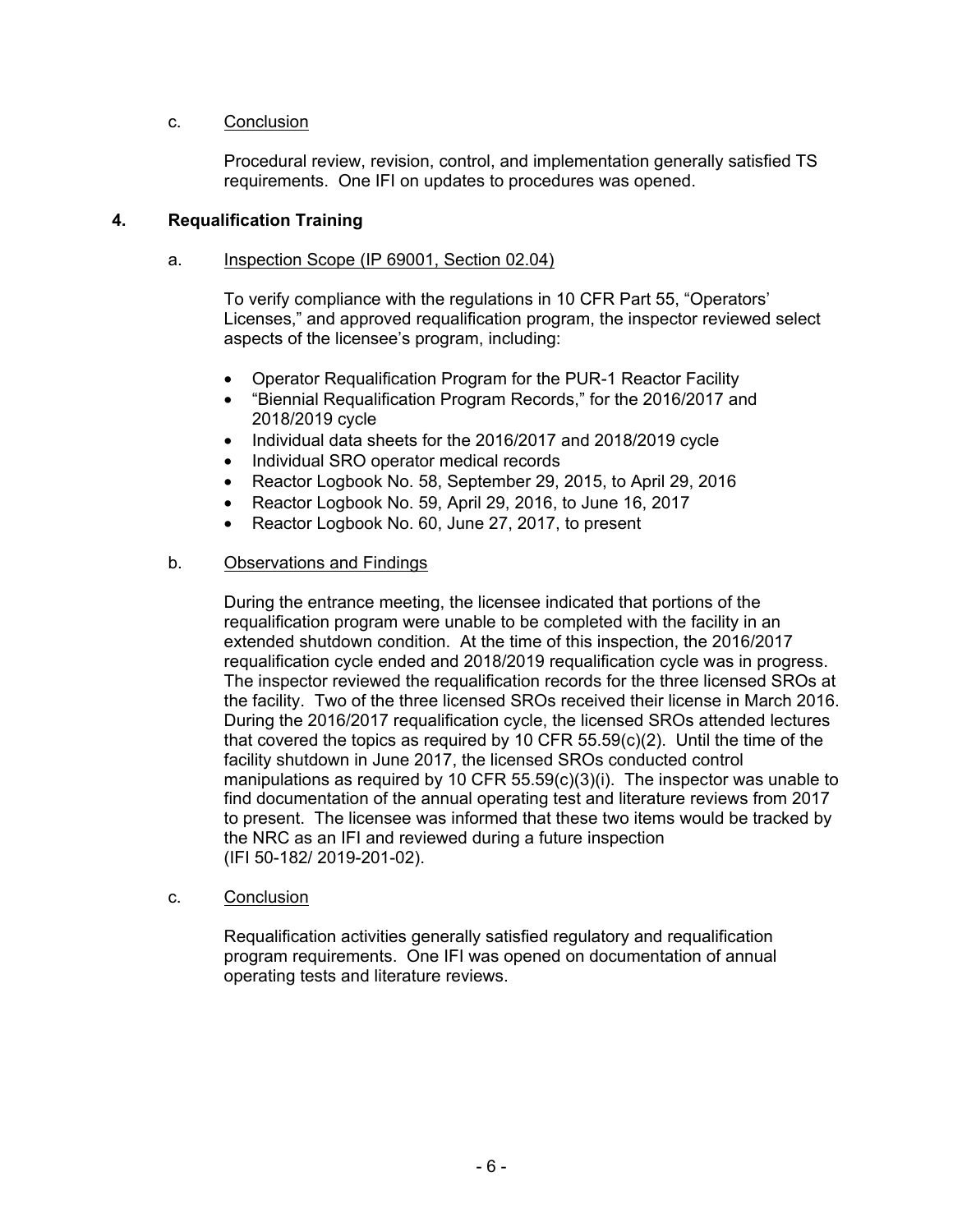### c. Conclusion

Procedural review, revision, control, and implementation generally satisfied TS requirements. One IFI on updates to procedures was opened.

### **4. Requalification Training**

#### a. Inspection Scope (IP 69001, Section 02.04)

To verify compliance with the regulations in 10 CFR Part 55, "Operators' Licenses," and approved requalification program, the inspector reviewed select aspects of the licensee's program, including:

- Operator Requalification Program for the PUR-1 Reactor Facility
- "Biennial Requalification Program Records," for the 2016/2017 and 2018/2019 cycle
- Individual data sheets for the 2016/2017 and 2018/2019 cycle
- Individual SRO operator medical records
- Reactor Logbook No. 58, September 29, 2015, to April 29, 2016
- Reactor Logbook No. 59, April 29, 2016, to June 16, 2017
- Reactor Logbook No. 60, June 27, 2017, to present

### b. Observations and Findings

During the entrance meeting, the licensee indicated that portions of the requalification program were unable to be completed with the facility in an extended shutdown condition. At the time of this inspection, the 2016/2017 requalification cycle ended and 2018/2019 requalification cycle was in progress. The inspector reviewed the requalification records for the three licensed SROs at the facility. Two of the three licensed SROs received their license in March 2016. During the 2016/2017 requalification cycle, the licensed SROs attended lectures that covered the topics as required by 10 CFR 55.59(c)(2). Until the time of the facility shutdown in June 2017, the licensed SROs conducted control manipulations as required by 10 CFR 55.59(c)(3)(i). The inspector was unable to find documentation of the annual operating test and literature reviews from 2017 to present. The licensee was informed that these two items would be tracked by the NRC as an IFI and reviewed during a future inspection (IFI 50-182/ 2019-201-02).

#### c. Conclusion

Requalification activities generally satisfied regulatory and requalification program requirements. One IFI was opened on documentation of annual operating tests and literature reviews.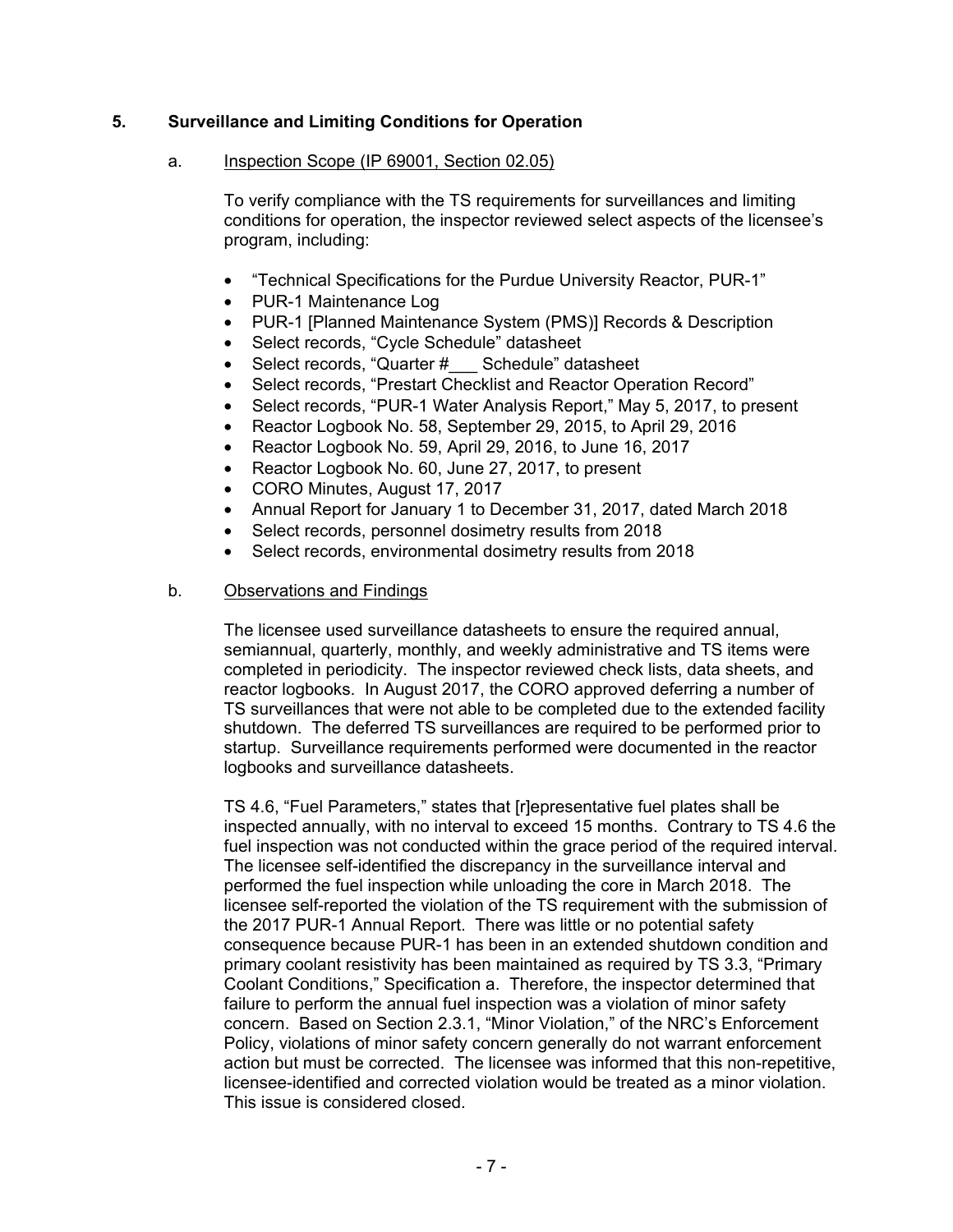# **5. Surveillance and Limiting Conditions for Operation**

### a. Inspection Scope (IP 69001, Section 02.05)

To verify compliance with the TS requirements for surveillances and limiting conditions for operation, the inspector reviewed select aspects of the licensee's program, including:

- "Technical Specifications for the Purdue University Reactor, PUR-1"
- PUR-1 Maintenance Log
- PUR-1 [Planned Maintenance System (PMS)] Records & Description
- Select records, "Cycle Schedule" datasheet
- Select records, "Quarter # Schedule" datasheet
- Select records, "Prestart Checklist and Reactor Operation Record"
- Select records, "PUR-1 Water Analysis Report," May 5, 2017, to present
- Reactor Logbook No. 58, September 29, 2015, to April 29, 2016
- Reactor Logbook No. 59, April 29, 2016, to June 16, 2017
- Reactor Logbook No. 60, June 27, 2017, to present
- CORO Minutes, August 17, 2017
- Annual Report for January 1 to December 31, 2017, dated March 2018
- Select records, personnel dosimetry results from 2018
- Select records, environmental dosimetry results from 2018

#### b. Observations and Findings

The licensee used surveillance datasheets to ensure the required annual, semiannual, quarterly, monthly, and weekly administrative and TS items were completed in periodicity. The inspector reviewed check lists, data sheets, and reactor logbooks. In August 2017, the CORO approved deferring a number of TS surveillances that were not able to be completed due to the extended facility shutdown. The deferred TS surveillances are required to be performed prior to startup. Surveillance requirements performed were documented in the reactor logbooks and surveillance datasheets.

TS 4.6, "Fuel Parameters," states that [r]epresentative fuel plates shall be inspected annually, with no interval to exceed 15 months. Contrary to TS 4.6 the fuel inspection was not conducted within the grace period of the required interval. The licensee self-identified the discrepancy in the surveillance interval and performed the fuel inspection while unloading the core in March 2018. The licensee self-reported the violation of the TS requirement with the submission of the 2017 PUR-1 Annual Report. There was little or no potential safety consequence because PUR-1 has been in an extended shutdown condition and primary coolant resistivity has been maintained as required by TS 3.3, "Primary Coolant Conditions," Specification a. Therefore, the inspector determined that failure to perform the annual fuel inspection was a violation of minor safety concern. Based on Section 2.3.1, "Minor Violation," of the NRC's Enforcement Policy, violations of minor safety concern generally do not warrant enforcement action but must be corrected. The licensee was informed that this non-repetitive, licensee-identified and corrected violation would be treated as a minor violation. This issue is considered closed.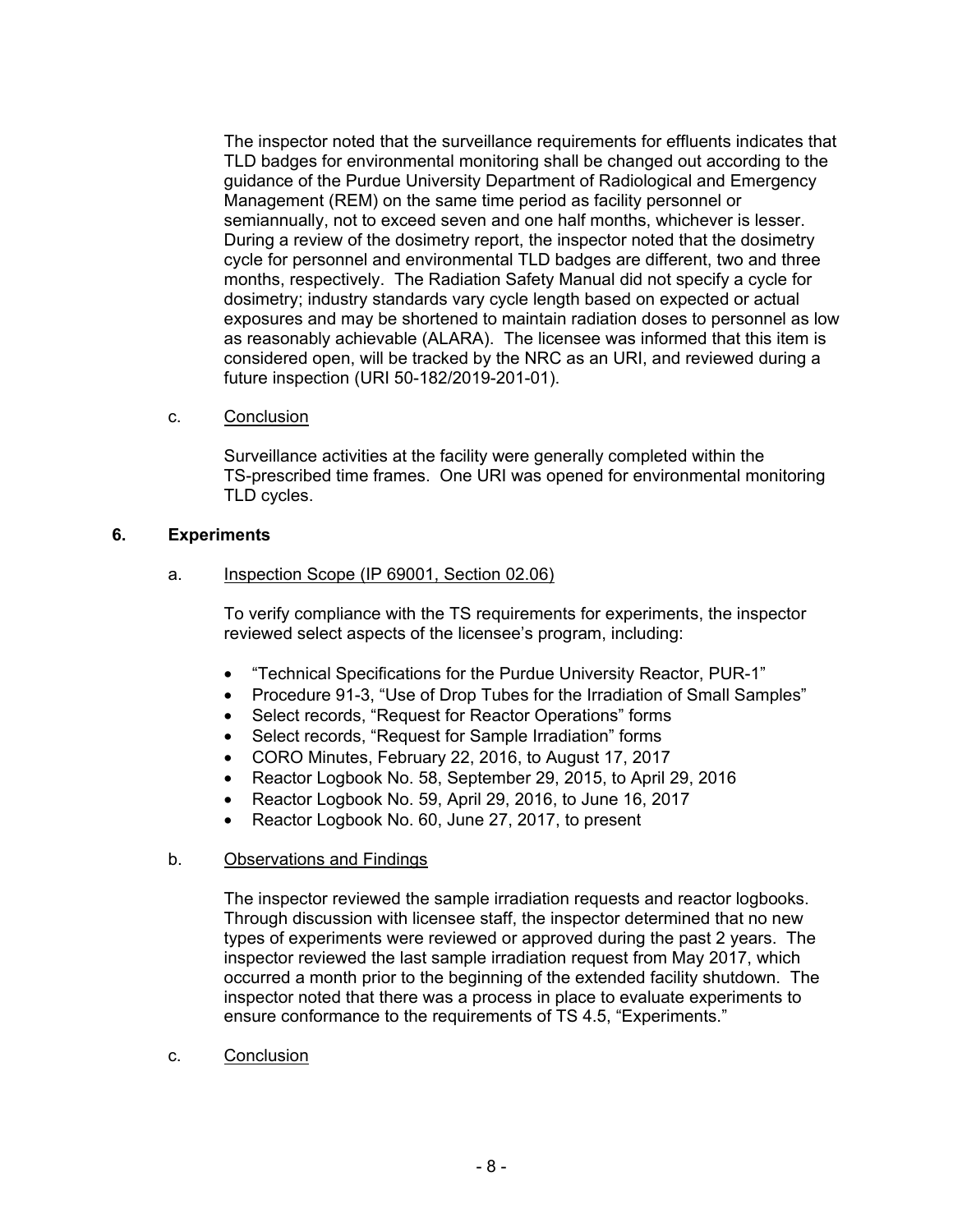The inspector noted that the surveillance requirements for effluents indicates that TLD badges for environmental monitoring shall be changed out according to the guidance of the Purdue University Department of Radiological and Emergency Management (REM) on the same time period as facility personnel or semiannually, not to exceed seven and one half months, whichever is lesser. During a review of the dosimetry report, the inspector noted that the dosimetry cycle for personnel and environmental TLD badges are different, two and three months, respectively. The Radiation Safety Manual did not specify a cycle for dosimetry; industry standards vary cycle length based on expected or actual exposures and may be shortened to maintain radiation doses to personnel as low as reasonably achievable (ALARA). The licensee was informed that this item is considered open, will be tracked by the NRC as an URI, and reviewed during a future inspection (URI 50-182/2019-201-01).

c. Conclusion

Surveillance activities at the facility were generally completed within the TS-prescribed time frames. One URI was opened for environmental monitoring TLD cycles.

### **6. Experiments**

a. Inspection Scope (IP 69001, Section 02.06)

To verify compliance with the TS requirements for experiments, the inspector reviewed select aspects of the licensee's program, including:

- "Technical Specifications for the Purdue University Reactor, PUR-1"
- Procedure 91-3, "Use of Drop Tubes for the Irradiation of Small Samples"
- Select records, "Request for Reactor Operations" forms
- Select records, "Request for Sample Irradiation" forms
- CORO Minutes, February 22, 2016, to August 17, 2017
- Reactor Logbook No. 58, September 29, 2015, to April 29, 2016
- Reactor Logbook No. 59, April 29, 2016, to June 16, 2017
- Reactor Logbook No. 60, June 27, 2017, to present

#### b. Observations and Findings

The inspector reviewed the sample irradiation requests and reactor logbooks. Through discussion with licensee staff, the inspector determined that no new types of experiments were reviewed or approved during the past 2 years. The inspector reviewed the last sample irradiation request from May 2017, which occurred a month prior to the beginning of the extended facility shutdown. The inspector noted that there was a process in place to evaluate experiments to ensure conformance to the requirements of TS 4.5, "Experiments."

c. Conclusion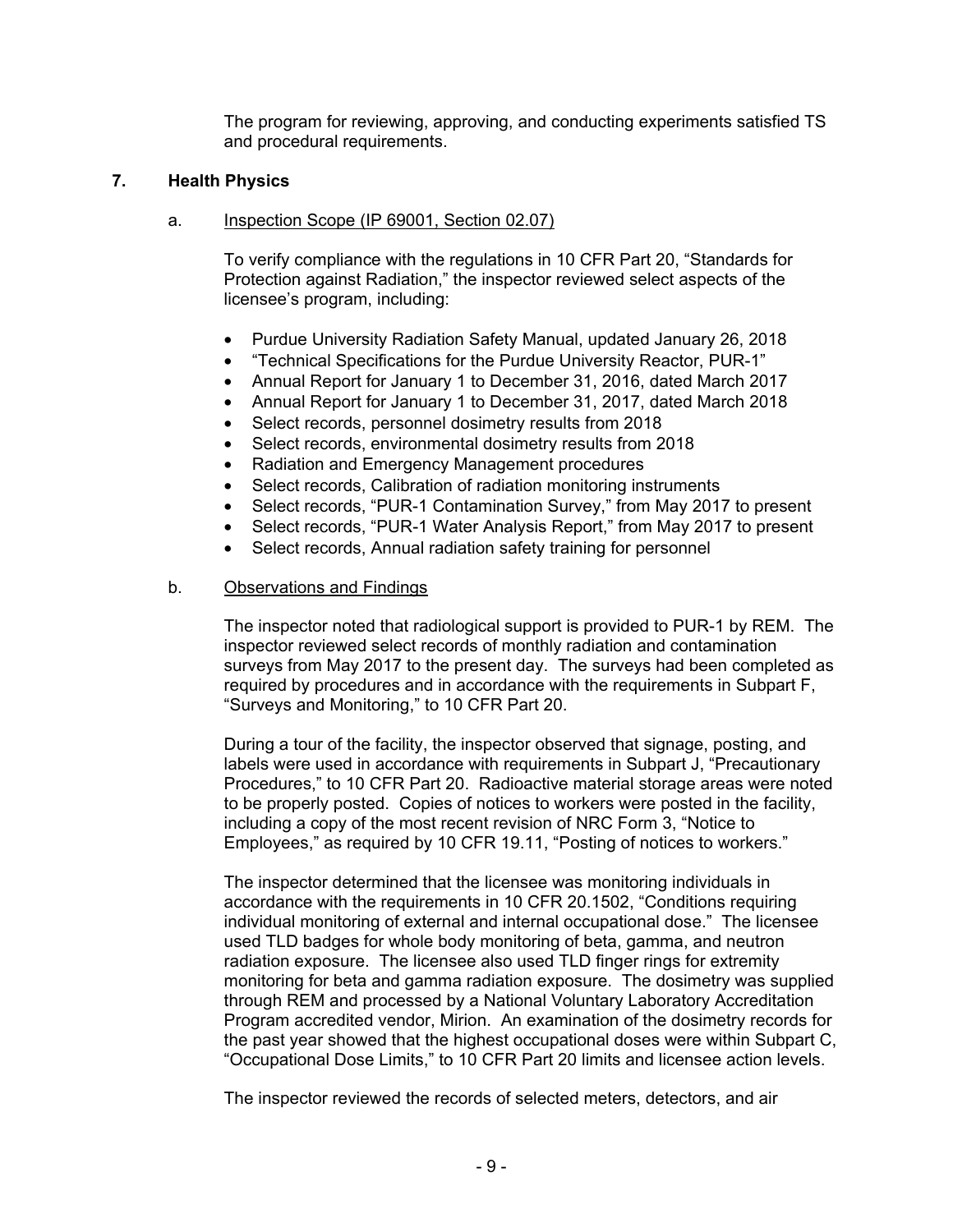The program for reviewing, approving, and conducting experiments satisfied TS and procedural requirements.

# **7. Health Physics**

## a. Inspection Scope (IP 69001, Section 02.07)

To verify compliance with the regulations in 10 CFR Part 20, "Standards for Protection against Radiation," the inspector reviewed select aspects of the licensee's program, including:

- Purdue University Radiation Safety Manual, updated January 26, 2018
- "Technical Specifications for the Purdue University Reactor, PUR-1"
- Annual Report for January 1 to December 31, 2016, dated March 2017
- Annual Report for January 1 to December 31, 2017, dated March 2018
- Select records, personnel dosimetry results from 2018
- Select records, environmental dosimetry results from 2018
- Radiation and Emergency Management procedures
- Select records, Calibration of radiation monitoring instruments
- Select records, "PUR-1 Contamination Survey," from May 2017 to present
- Select records, "PUR-1 Water Analysis Report," from May 2017 to present
- Select records, Annual radiation safety training for personnel

# b. Observations and Findings

The inspector noted that radiological support is provided to PUR-1 by REM. The inspector reviewed select records of monthly radiation and contamination surveys from May 2017 to the present day. The surveys had been completed as required by procedures and in accordance with the requirements in Subpart F, "Surveys and Monitoring," to 10 CFR Part 20.

During a tour of the facility, the inspector observed that signage, posting, and labels were used in accordance with requirements in Subpart J, "Precautionary Procedures," to 10 CFR Part 20. Radioactive material storage areas were noted to be properly posted. Copies of notices to workers were posted in the facility, including a copy of the most recent revision of NRC Form 3, "Notice to Employees," as required by 10 CFR 19.11, "Posting of notices to workers."

The inspector determined that the licensee was monitoring individuals in accordance with the requirements in 10 CFR 20.1502, "Conditions requiring individual monitoring of external and internal occupational dose." The licensee used TLD badges for whole body monitoring of beta, gamma, and neutron radiation exposure. The licensee also used TLD finger rings for extremity monitoring for beta and gamma radiation exposure. The dosimetry was supplied through REM and processed by a National Voluntary Laboratory Accreditation Program accredited vendor, Mirion. An examination of the dosimetry records for the past year showed that the highest occupational doses were within Subpart C, "Occupational Dose Limits," to 10 CFR Part 20 limits and licensee action levels.

The inspector reviewed the records of selected meters, detectors, and air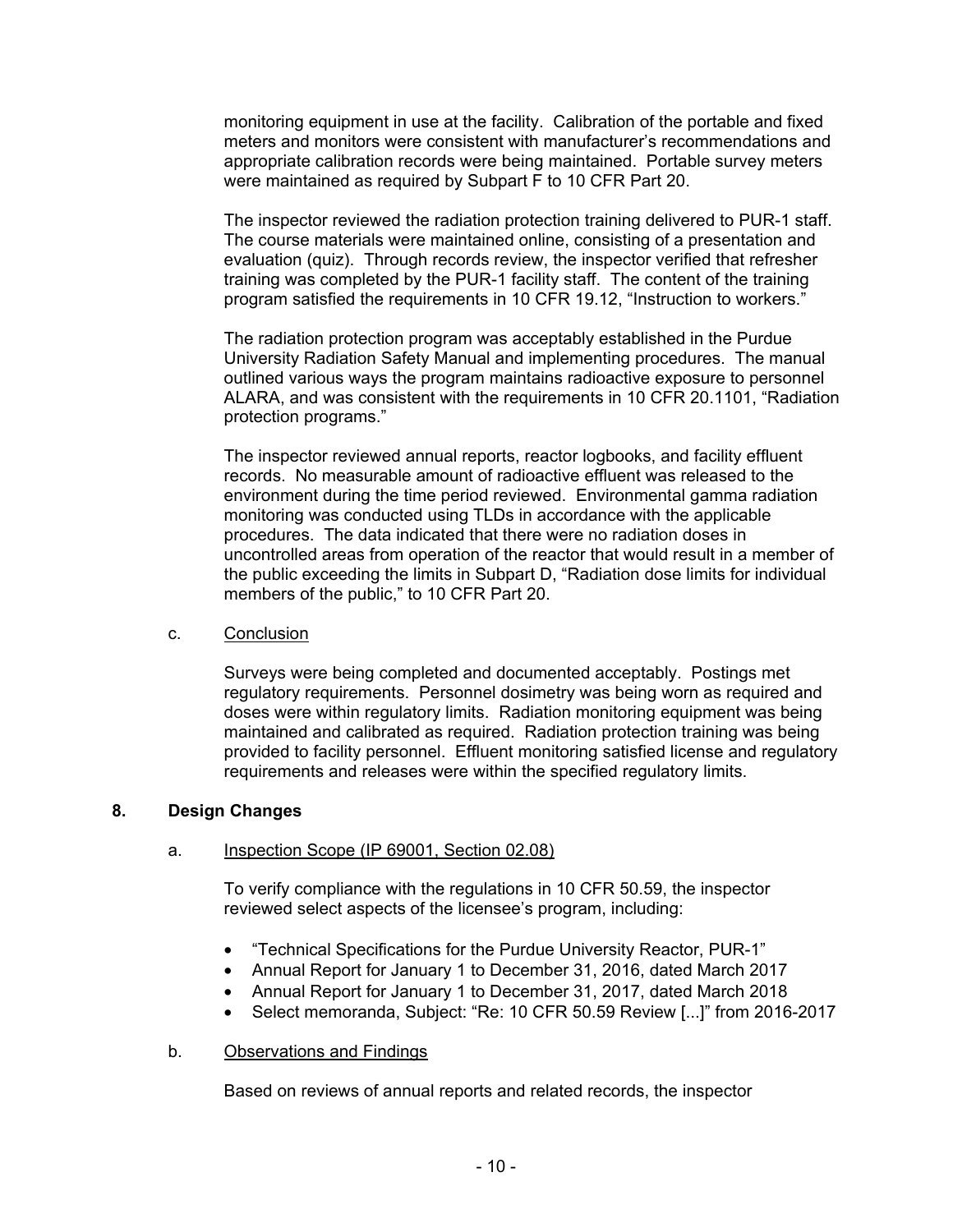monitoring equipment in use at the facility. Calibration of the portable and fixed meters and monitors were consistent with manufacturer's recommendations and appropriate calibration records were being maintained. Portable survey meters were maintained as required by Subpart F to 10 CFR Part 20.

The inspector reviewed the radiation protection training delivered to PUR-1 staff. The course materials were maintained online, consisting of a presentation and evaluation (quiz). Through records review, the inspector verified that refresher training was completed by the PUR-1 facility staff. The content of the training program satisfied the requirements in 10 CFR 19.12, "Instruction to workers."

The radiation protection program was acceptably established in the Purdue University Radiation Safety Manual and implementing procedures. The manual outlined various ways the program maintains radioactive exposure to personnel ALARA, and was consistent with the requirements in 10 CFR 20.1101, "Radiation protection programs."

The inspector reviewed annual reports, reactor logbooks, and facility effluent records. No measurable amount of radioactive effluent was released to the environment during the time period reviewed. Environmental gamma radiation monitoring was conducted using TLDs in accordance with the applicable procedures. The data indicated that there were no radiation doses in uncontrolled areas from operation of the reactor that would result in a member of the public exceeding the limits in Subpart D, "Radiation dose limits for individual members of the public," to 10 CFR Part 20.

#### c. Conclusion

Surveys were being completed and documented acceptably. Postings met regulatory requirements. Personnel dosimetry was being worn as required and doses were within regulatory limits. Radiation monitoring equipment was being maintained and calibrated as required. Radiation protection training was being provided to facility personnel. Effluent monitoring satisfied license and regulatory requirements and releases were within the specified regulatory limits.

### **8. Design Changes**

### a. Inspection Scope (IP 69001, Section 02.08)

To verify compliance with the regulations in 10 CFR 50.59, the inspector reviewed select aspects of the licensee's program, including:

- "Technical Specifications for the Purdue University Reactor, PUR-1"
- Annual Report for January 1 to December 31, 2016, dated March 2017
- Annual Report for January 1 to December 31, 2017, dated March 2018
- Select memoranda, Subject: "Re: 10 CFR 50.59 Review [...]" from 2016-2017

### b. Observations and Findings

Based on reviews of annual reports and related records, the inspector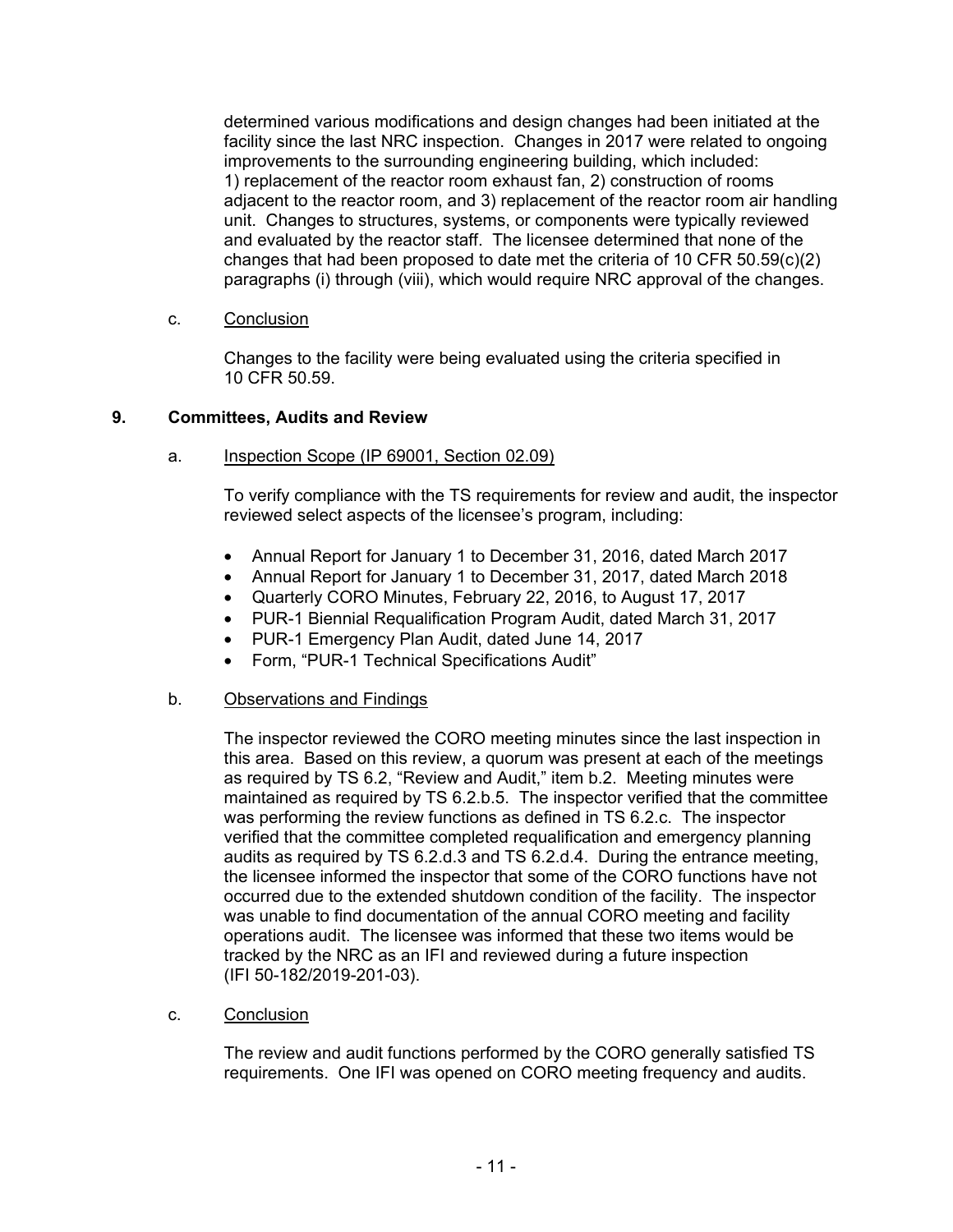determined various modifications and design changes had been initiated at the facility since the last NRC inspection. Changes in 2017 were related to ongoing improvements to the surrounding engineering building, which included: 1) replacement of the reactor room exhaust fan, 2) construction of rooms adjacent to the reactor room, and 3) replacement of the reactor room air handling unit. Changes to structures, systems, or components were typically reviewed and evaluated by the reactor staff. The licensee determined that none of the changes that had been proposed to date met the criteria of 10 CFR  $50.59(c)(2)$ paragraphs (i) through (viii), which would require NRC approval of the changes.

c. Conclusion

Changes to the facility were being evaluated using the criteria specified in 10 CFR 50.59.

### **9. Committees, Audits and Review**

### a. Inspection Scope (IP 69001, Section 02.09)

To verify compliance with the TS requirements for review and audit, the inspector reviewed select aspects of the licensee's program, including:

- Annual Report for January 1 to December 31, 2016, dated March 2017
- Annual Report for January 1 to December 31, 2017, dated March 2018
- Quarterly CORO Minutes, February 22, 2016, to August 17, 2017
- PUR-1 Biennial Requalification Program Audit, dated March 31, 2017
- PUR-1 Emergency Plan Audit, dated June 14, 2017
- Form, "PUR-1 Technical Specifications Audit"

#### b. Observations and Findings

The inspector reviewed the CORO meeting minutes since the last inspection in this area. Based on this review, a quorum was present at each of the meetings as required by TS 6.2, "Review and Audit," item b.2. Meeting minutes were maintained as required by TS 6.2.b.5. The inspector verified that the committee was performing the review functions as defined in TS 6.2.c. The inspector verified that the committee completed requalification and emergency planning audits as required by TS 6.2.d.3 and TS 6.2.d.4. During the entrance meeting, the licensee informed the inspector that some of the CORO functions have not occurred due to the extended shutdown condition of the facility. The inspector was unable to find documentation of the annual CORO meeting and facility operations audit. The licensee was informed that these two items would be tracked by the NRC as an IFI and reviewed during a future inspection (IFI 50-182/2019-201-03).

c. Conclusion

The review and audit functions performed by the CORO generally satisfied TS requirements. One IFI was opened on CORO meeting frequency and audits.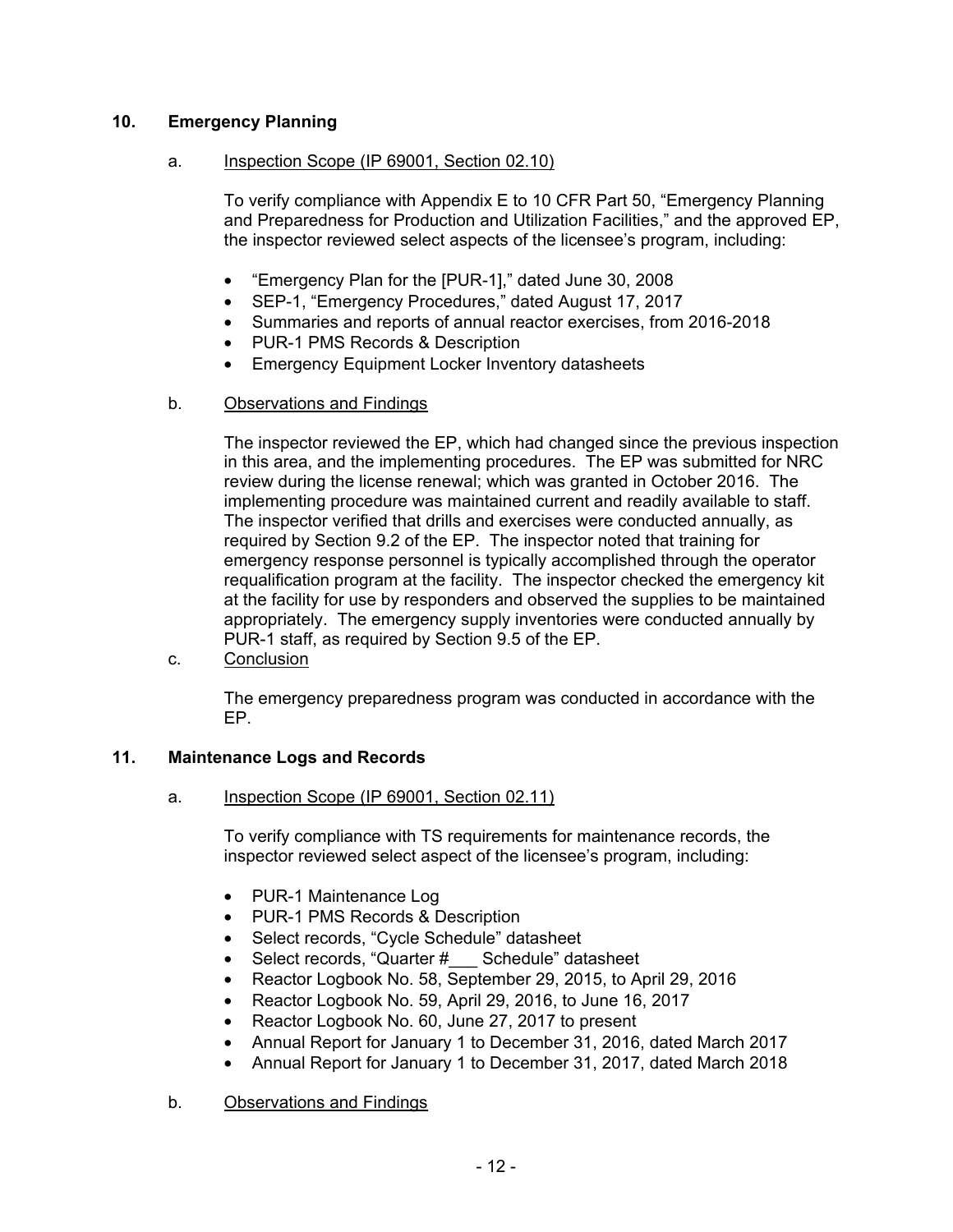# **10. Emergency Planning**

### a. Inspection Scope (IP 69001, Section 02.10)

To verify compliance with Appendix E to 10 CFR Part 50, "Emergency Planning and Preparedness for Production and Utilization Facilities," and the approved EP, the inspector reviewed select aspects of the licensee's program, including:

- "Emergency Plan for the [PUR-1]," dated June 30, 2008
- SEP-1, "Emergency Procedures," dated August 17, 2017
- Summaries and reports of annual reactor exercises, from 2016-2018
- PUR-1 PMS Records & Description
- Emergency Equipment Locker Inventory datasheets

### b. Observations and Findings

The inspector reviewed the EP, which had changed since the previous inspection in this area, and the implementing procedures. The EP was submitted for NRC review during the license renewal; which was granted in October 2016. The implementing procedure was maintained current and readily available to staff. The inspector verified that drills and exercises were conducted annually, as required by Section 9.2 of the EP. The inspector noted that training for emergency response personnel is typically accomplished through the operator requalification program at the facility. The inspector checked the emergency kit at the facility for use by responders and observed the supplies to be maintained appropriately. The emergency supply inventories were conducted annually by PUR-1 staff, as required by Section 9.5 of the EP.

c. Conclusion

The emergency preparedness program was conducted in accordance with the EP.

### **11. Maintenance Logs and Records**

a. Inspection Scope (IP 69001, Section 02.11)

To verify compliance with TS requirements for maintenance records, the inspector reviewed select aspect of the licensee's program, including:

- PUR-1 Maintenance Log
- PUR-1 PMS Records & Description
- Select records, "Cycle Schedule" datasheet
- Select records, "Quarter # Schedule" datasheet
- Reactor Logbook No. 58, September 29, 2015, to April 29, 2016
- Reactor Logbook No. 59, April 29, 2016, to June 16, 2017
- Reactor Logbook No. 60, June 27, 2017 to present
- Annual Report for January 1 to December 31, 2016, dated March 2017
- Annual Report for January 1 to December 31, 2017, dated March 2018
- b. Observations and Findings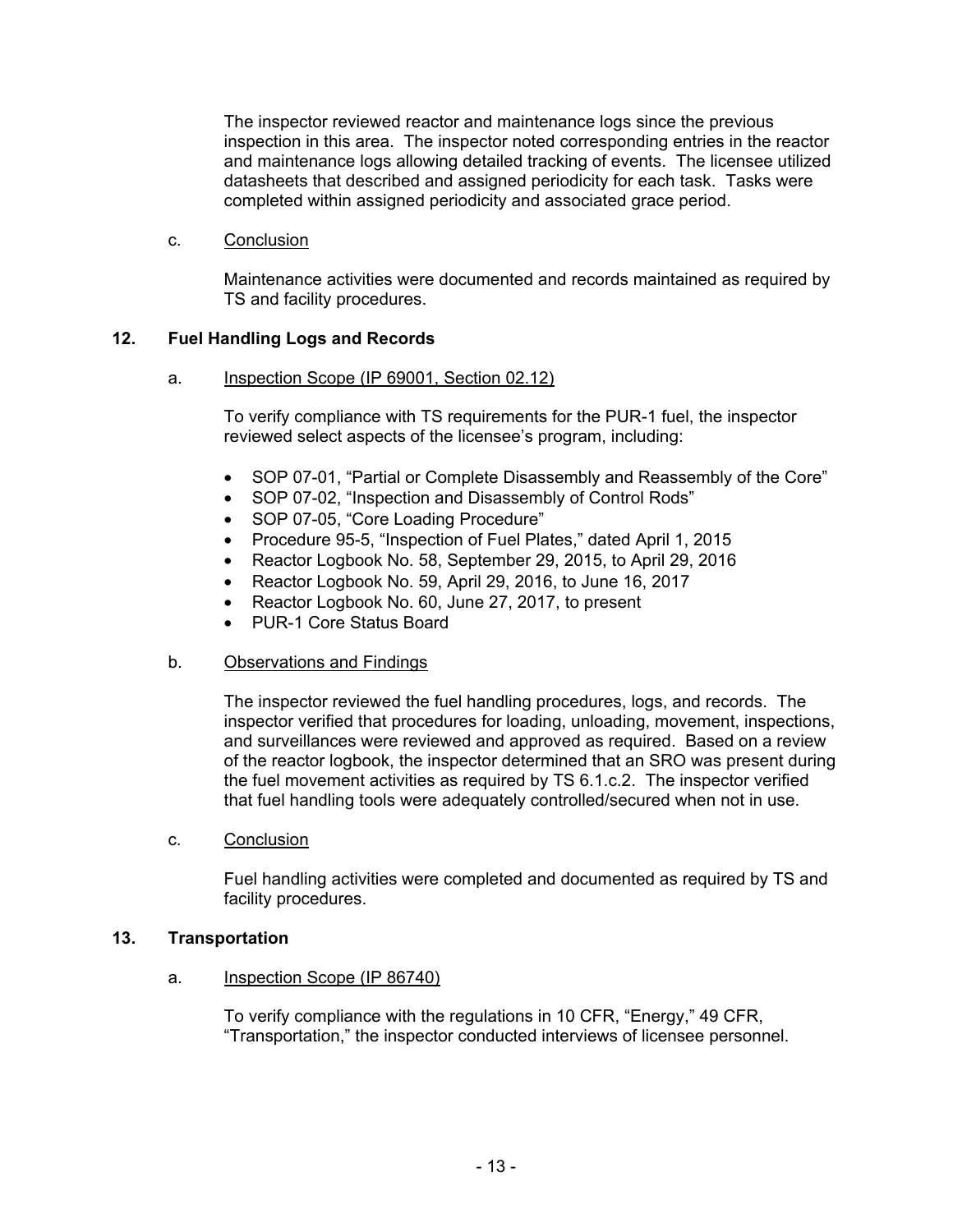The inspector reviewed reactor and maintenance logs since the previous inspection in this area. The inspector noted corresponding entries in the reactor and maintenance logs allowing detailed tracking of events. The licensee utilized datasheets that described and assigned periodicity for each task. Tasks were completed within assigned periodicity and associated grace period.

c. Conclusion

Maintenance activities were documented and records maintained as required by TS and facility procedures.

# **12. Fuel Handling Logs and Records**

a. Inspection Scope (IP 69001, Section 02.12)

To verify compliance with TS requirements for the PUR-1 fuel, the inspector reviewed select aspects of the licensee's program, including:

- SOP 07-01, "Partial or Complete Disassembly and Reassembly of the Core"
- SOP 07-02, "Inspection and Disassembly of Control Rods"
- SOP 07-05, "Core Loading Procedure"
- Procedure 95-5, "Inspection of Fuel Plates," dated April 1, 2015
- Reactor Logbook No. 58, September 29, 2015, to April 29, 2016
- Reactor Logbook No. 59, April 29, 2016, to June 16, 2017
- Reactor Logbook No. 60, June 27, 2017, to present
- PUR-1 Core Status Board

#### b. Observations and Findings

The inspector reviewed the fuel handling procedures, logs, and records. The inspector verified that procedures for loading, unloading, movement, inspections, and surveillances were reviewed and approved as required. Based on a review of the reactor logbook, the inspector determined that an SRO was present during the fuel movement activities as required by TS 6.1.c.2. The inspector verified that fuel handling tools were adequately controlled/secured when not in use.

c. Conclusion

Fuel handling activities were completed and documented as required by TS and facility procedures.

#### **13. Transportation**

a. Inspection Scope (IP 86740)

To verify compliance with the regulations in 10 CFR, "Energy," 49 CFR, "Transportation," the inspector conducted interviews of licensee personnel.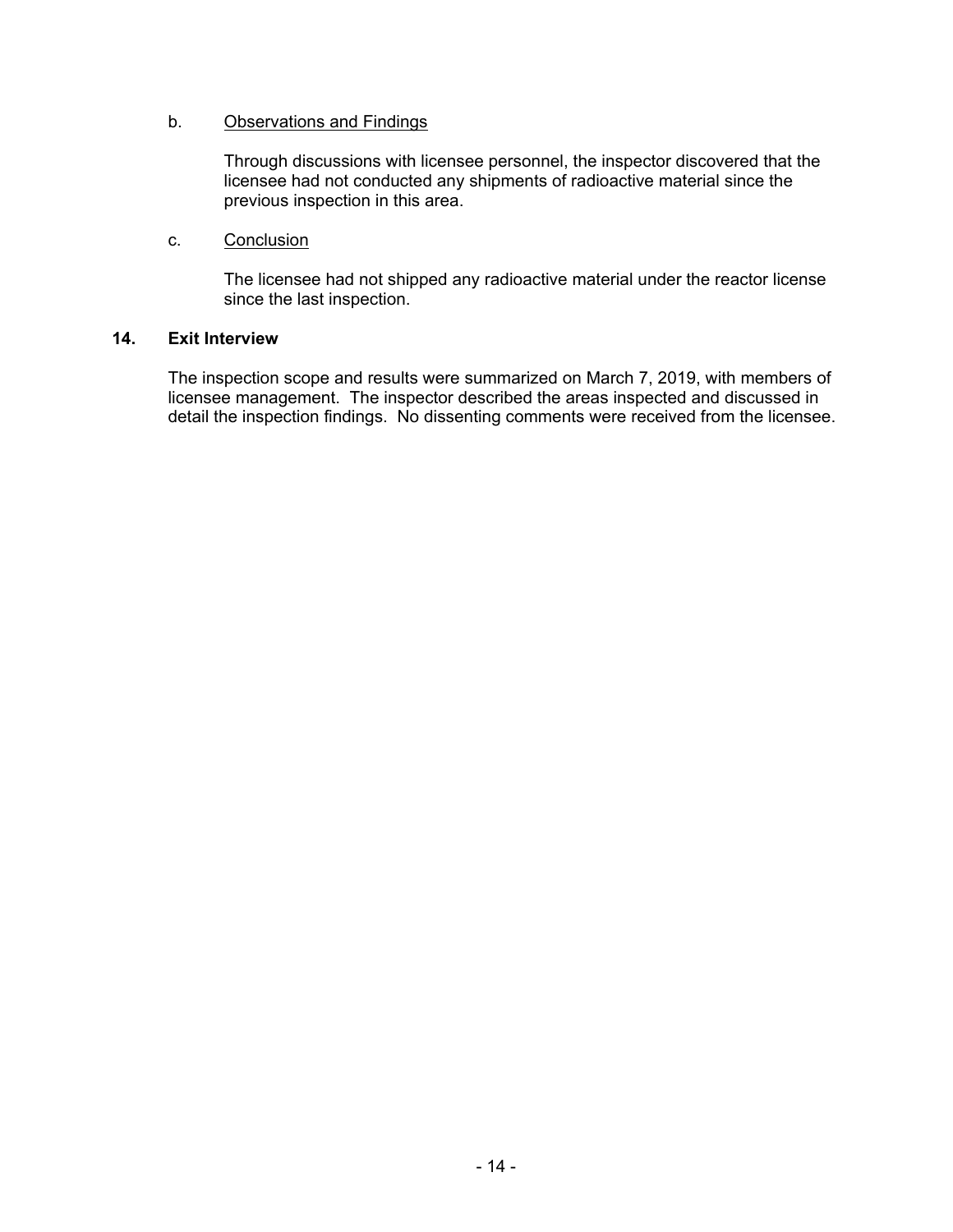### b. Observations and Findings

Through discussions with licensee personnel, the inspector discovered that the licensee had not conducted any shipments of radioactive material since the previous inspection in this area.

### c. Conclusion

The licensee had not shipped any radioactive material under the reactor license since the last inspection.

### **14. Exit Interview**

The inspection scope and results were summarized on March 7, 2019, with members of licensee management. The inspector described the areas inspected and discussed in detail the inspection findings. No dissenting comments were received from the licensee.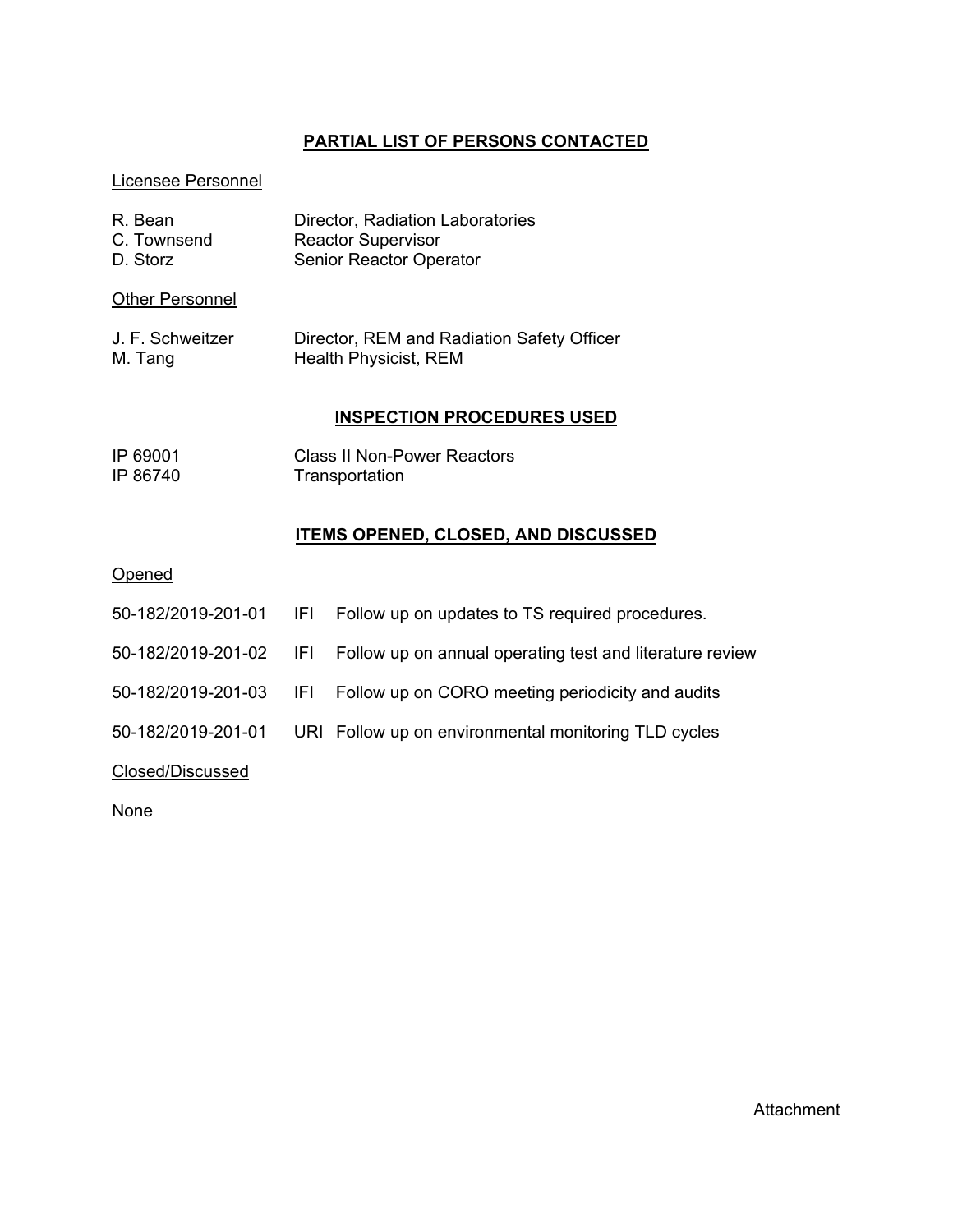# **PARTIAL LIST OF PERSONS CONTACTED**

## Licensee Personnel

| R. Bean                | Director, Radiation Laboratories           |
|------------------------|--------------------------------------------|
| C. Townsend            | <b>Reactor Supervisor</b>                  |
| D. Storz               | <b>Senior Reactor Operator</b>             |
| <b>Other Personnel</b> |                                            |
| J. F. Schweitzer       | Director, REM and Radiation Safety Officer |
| M. Tang                | Health Physicist, REM                      |

# **INSPECTION PROCEDURES USED**

| IP 69001 | <b>Class II Non-Power Reactors</b> |
|----------|------------------------------------|
| IP 86740 | Transportation                     |

# **ITEMS OPENED, CLOSED, AND DISCUSSED**

**Opened** 

|                    | 50-182/2019-201-01 IFI Follow up on updates to TS required procedures.          |
|--------------------|---------------------------------------------------------------------------------|
|                    | 50-182/2019-201-02 IFI Follow up on annual operating test and literature review |
|                    | 50-182/2019-201-03 IFI Follow up on CORO meeting periodicity and audits         |
| 50-182/2019-201-01 | URI Follow up on environmental monitoring TLD cycles                            |
| Closed/Discussed   |                                                                                 |

None